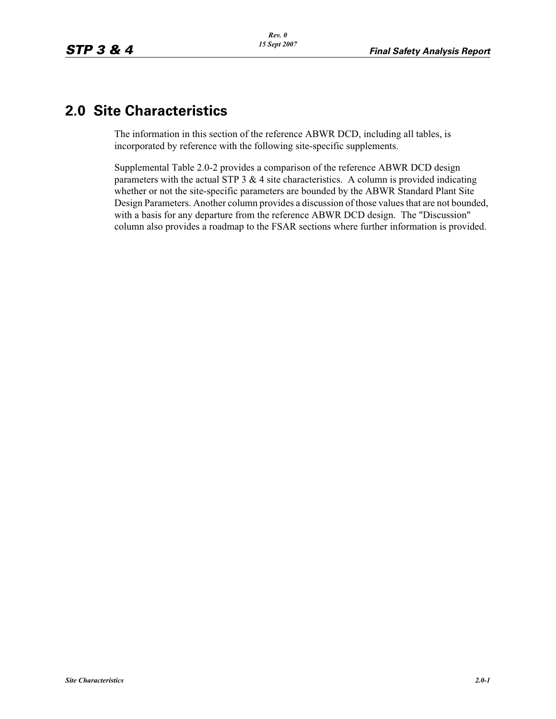# **2.0 Site Characteristics**

The information in this section of the reference ABWR DCD, including all tables, is incorporated by reference with the following site-specific supplements.

Supplemental Table 2.0-2 provides a comparison of the reference ABWR DCD design parameters with the actual STP 3  $&$  4 site characteristics. A column is provided indicating whether or not the site-specific parameters are bounded by the ABWR Standard Plant Site Design Parameters. Another column provides a discussion of those values that are not bounded, with a basis for any departure from the reference ABWR DCD design. The "Discussion" column also provides a roadmap to the FSAR sections where further information is provided.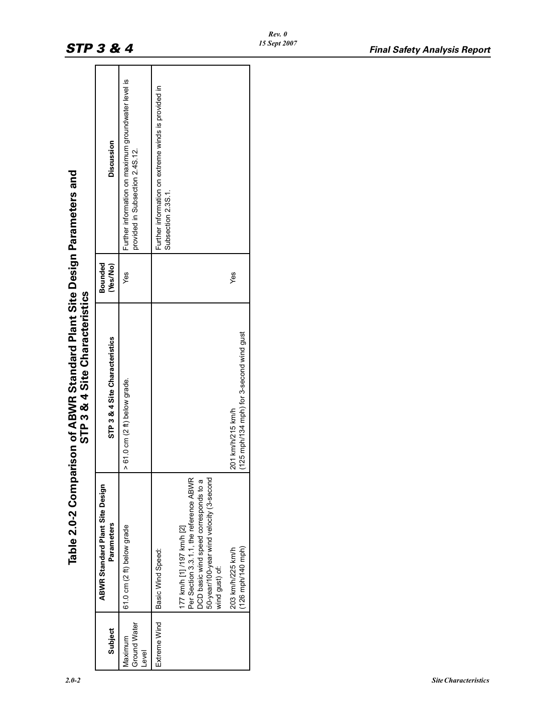| Table 2.0-2 Comparison of ABWR Standard Plant Site Design Parameters and<br>STP 3 & 4 Site Characteristics | <b>Discussion</b><br>Bounded<br>(Yes/No)<br>STP 3 & 4 Site Characteristics<br><b>ABWR Standard Plant Site Design</b><br>Parameters | Further information on maximum groundwater level is<br>provided in Subsection 2.4S.12.<br>Yes<br>$> 61.0$ cm (2 ft) below grade.<br>61.0 cm (2 ft) below grade | Further information on extreme winds is provided in<br>Subsection 2.3S.1<br>Yes<br>(125 mph/134 mph) for 3-second wind gust<br>201 km/h/215 km/h<br>Per Section 3.3.1.1, the reference ABWR<br>50-year/100-year wind velocity (3-second<br>DCD basic wind speed corresponds to a<br>177 km/h [1] /197 km/h [2]<br>$(126 \text{ mph}/140 \text{ mph})$<br>203 km/h/225 km/h<br>Basic Wind Speed:<br>wind gust) of: |
|------------------------------------------------------------------------------------------------------------|------------------------------------------------------------------------------------------------------------------------------------|----------------------------------------------------------------------------------------------------------------------------------------------------------------|-------------------------------------------------------------------------------------------------------------------------------------------------------------------------------------------------------------------------------------------------------------------------------------------------------------------------------------------------------------------------------------------------------------------|
|                                                                                                            | Subject                                                                                                                            | Ground Water<br>Maximum<br>evel.                                                                                                                               | Extreme Wind                                                                                                                                                                                                                                                                                                                                                                                                      |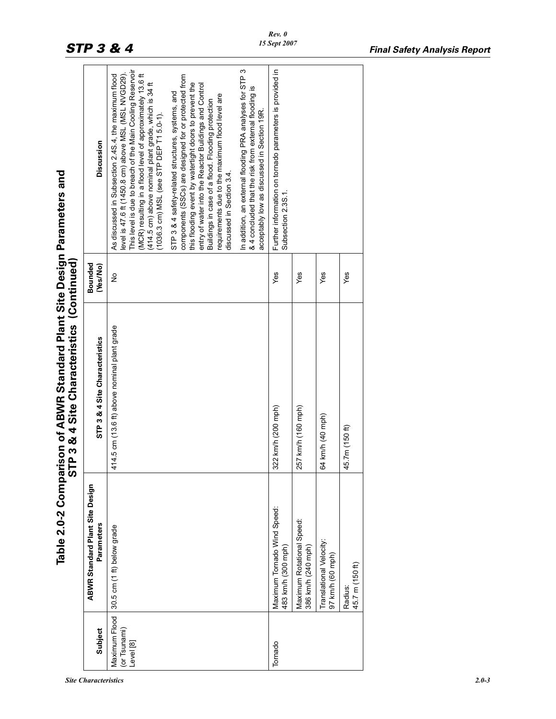*Site Characteristics 2.0-3*

|                                            | Table 2.0-2 Comp                                     | arison of ABWR Standard Plant Site Design Parameters and<br>STP 3 & 4 Site Characteristics (Continued) |                     |                                                                                                                                                                                                                                                                                                                                                                                                                                                                                                                            |
|--------------------------------------------|------------------------------------------------------|--------------------------------------------------------------------------------------------------------|---------------------|----------------------------------------------------------------------------------------------------------------------------------------------------------------------------------------------------------------------------------------------------------------------------------------------------------------------------------------------------------------------------------------------------------------------------------------------------------------------------------------------------------------------------|
| Subject                                    | <b>ABWR Standard Plant Site Design</b><br>Parameters | STP 3 & 4 Site Characteristics                                                                         | Bounded<br>(Yes/No) | Discussion                                                                                                                                                                                                                                                                                                                                                                                                                                                                                                                 |
| Maximum Flood<br>(or Tsunami)<br>Level [8] | 30.5 cm (1 ft) below grade                           | 414.5 cm (13.6 ft) above nominal plant grade                                                           | $\frac{1}{2}$       | This level is due to breach of the Main Cooling Reservoir<br>level is 47.6 ft (1450.8 cm) above MSL (MSL NVGD29).<br>(MCR) resulting in a flood level of approximately 13.6 ft<br>As discussed in Subsection 2.4S.4, the maximum flood<br>components (SSCs) are designed for or protected from<br>(414.5 cm) above nominal plant grade, which is 34 ft<br>this flooding event by watertight doors to prevent the<br>STP 3 & 4 safety-related structures, systems, and<br>$(1036.3 \text{ cm})$ MSL (see STP DEP T1 5.0-1). |
|                                            |                                                      |                                                                                                        |                     | entry of water into the Reactor Buildings and Control<br>requirements due to the maximum flood level are<br>Buildings in case of a flood. Flooding protection<br>discussed in Section 3.4                                                                                                                                                                                                                                                                                                                                  |
|                                            |                                                      |                                                                                                        |                     | In addition, an external flooding PRA analyses for STP 3<br>& 4 concluded that the risk from external flooding is<br>acceptably low as discussed in Section 19R.                                                                                                                                                                                                                                                                                                                                                           |
| Tornado                                    | Maximum Tornado Wind Speed:<br>483 km/h (300 mph)    | 322 km/h (200 mph)                                                                                     | Yes                 | Further information on tornado parameters is provided in<br>Subsection 2.3S.1                                                                                                                                                                                                                                                                                                                                                                                                                                              |
|                                            | Maximum Rotational Speed:<br>386 km/h (240 mph)      | 257 km/h (160 mph)                                                                                     | Yes                 |                                                                                                                                                                                                                                                                                                                                                                                                                                                                                                                            |
|                                            | Translational Velocity:<br>97 km/h (60 mph)          | 64 km/h (40 mph)                                                                                       | Yes                 |                                                                                                                                                                                                                                                                                                                                                                                                                                                                                                                            |
|                                            | 45.7 m (150 ft)<br>Radius:                           | 45.7m (150 ft)                                                                                         | Yes                 |                                                                                                                                                                                                                                                                                                                                                                                                                                                                                                                            |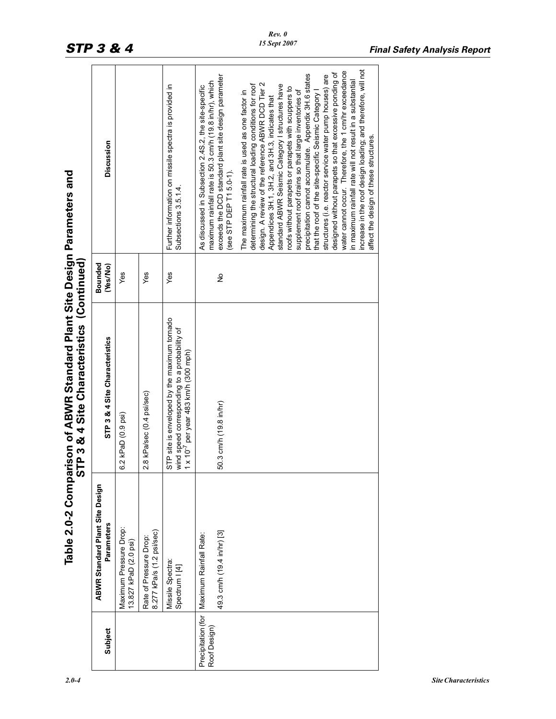| le 2.0-2 Comparison of ABWR Standard Plant Site Design Parameters | STP 3 & 4 Site Characteristics (Continued) |
|-------------------------------------------------------------------|--------------------------------------------|
|                                                                   |                                            |

|                                    | Table 2.0-2 Compari                                  | ison of ABWR Standard Plant Site Design Parameters and<br><b>TP 3 &amp; 4 Site Characteristics (Continued)</b><br>5                            |                     |                                                                                                                    |
|------------------------------------|------------------------------------------------------|------------------------------------------------------------------------------------------------------------------------------------------------|---------------------|--------------------------------------------------------------------------------------------------------------------|
| Subject                            | <b>ABWR Standard Plant Site Design</b><br>Parameters | STP 3 & 4 Site Characteristics                                                                                                                 | Bounded<br>(Yes/No) | <b>Discussion</b>                                                                                                  |
|                                    | Maximum Pressure Drop:<br>13.827 kPaD (2.0 psi)      | 2 kPaD (0.9 psi)<br>ဖ                                                                                                                          | Yes                 |                                                                                                                    |
|                                    | 8.277 kPa/s (1.2 psi/sec)<br>Rate of Pressure Drop:  | 8 kPa/sec (0.4 psi/sec)<br>$\mathbf{\Omega}$                                                                                                   | Yes                 |                                                                                                                    |
|                                    | Missile Spectra:<br>Spectrum   [4]                   | STP site is enveloped by the maximum tornado<br>wind speed corresponding to a probability of<br>x 10 <sup>-'</sup> per year 483 km/h (300 mph) | Yes                 | Further information on missile spectra is provided in<br>Subsections 3.5.1.4.                                      |
| Precipitation (for<br>Roof Design) | Maximum Rainfall Rate:                               |                                                                                                                                                |                     | maximum rainfall rate is 50.3 cm/h (19.8 in/hr), which<br>As discussed in Subsection 2.4S.2, the site-specific     |
|                                    | 49.3 cm/h (19.4 in/hr) [3]                           | 50.3 cm/h (19.8 in/hr)                                                                                                                         | $\frac{1}{2}$       | exceeds the DCD standard plant site design parameter<br>see STP DEP T1 5.0-1).                                     |
|                                    |                                                      |                                                                                                                                                |                     | determining the structural loading conditions for roof<br>The maximum rainfall rate is used as one factor in       |
|                                    |                                                      |                                                                                                                                                |                     | design. A review of the reference ABWR DCD Tier 2<br>Appendices 3H.1, 3H.2, and 3H.3, indicates that               |
|                                    |                                                      |                                                                                                                                                |                     | standard ABWR Seismic Category I structures have<br>roofs without parapets or parapets with scuppers to            |
|                                    |                                                      |                                                                                                                                                |                     | precipitation cannot accumulate. Appendix 3H.6 states<br>supplement roof drains so that large inventories of       |
|                                    |                                                      |                                                                                                                                                |                     | that the roof of the site-specific Seismic Category                                                                |
|                                    |                                                      |                                                                                                                                                |                     | designed without parapets so that excessive ponding of<br>structures (i.e. reactor service water pump houses) are  |
|                                    |                                                      |                                                                                                                                                |                     | water cannot occur. Therefore, the 1 cm/hr exceedance<br>in maximum rainfall rate will not result in a substantial |
|                                    |                                                      |                                                                                                                                                |                     | increase in the roof design loading; and therefore, will not<br>affect the design of these structures.             |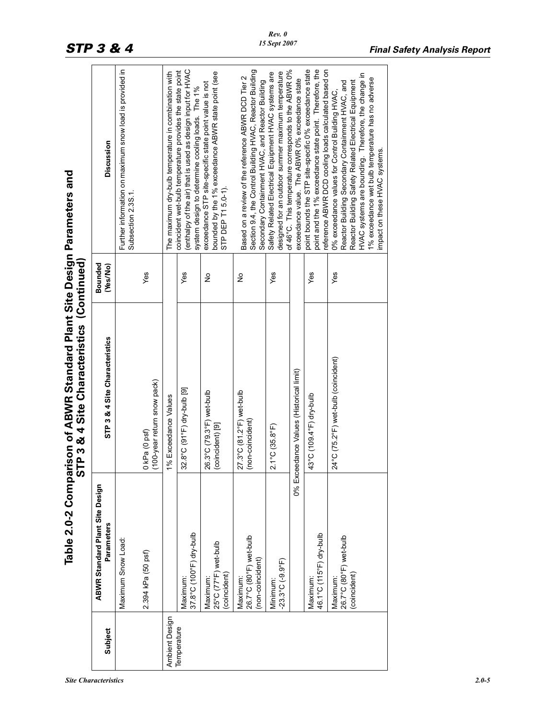| <b>Site Characteristics</b> | $2.0 - 5$ |
|-----------------------------|-----------|
|-----------------------------|-----------|

|                |                                                        | Table 2.0-2 Comparison of ABWR Standard Plant Site Design Parameters and<br>STP 3 & 4 Site Characteristics (Continued) |                     |                                                                                                                                                                                                                                                                                                         |
|----------------|--------------------------------------------------------|------------------------------------------------------------------------------------------------------------------------|---------------------|---------------------------------------------------------------------------------------------------------------------------------------------------------------------------------------------------------------------------------------------------------------------------------------------------------|
| Subject        | <b>ABWR Standard Plant Site Design</b><br>Parameters   | STP 3 & 4 Site Characteristics                                                                                         | Bounded<br>(Yes/No) | Discussion                                                                                                                                                                                                                                                                                              |
|                | Maximum Snow Load:                                     |                                                                                                                        |                     | Further information on maximum snow load is provided in<br>Subsection 2.3S.1.                                                                                                                                                                                                                           |
|                | 2.394 kPa (50 psf)                                     | (100-year return snow pack)<br>0 kPa (0 psf)                                                                           | Yes                 |                                                                                                                                                                                                                                                                                                         |
| Ambient Design |                                                        | 1% Exceedance Values                                                                                                   |                     | The maximum dry-bulb temperature in combination with                                                                                                                                                                                                                                                    |
| Temperature    | 37.8°C (100°F) dry-bulb<br>Maximum:                    | 32.8°C (91°F) dry-bulb [9]                                                                                             | Yes                 | (enthalpy of the air) that is used as design input for HVAC<br>coincident wet-bulb temperature provides the state point<br>system design to determine cooling loads. The 1%                                                                                                                             |
|                | 25°C (77°F) wet-bulb<br>(coincident)<br>Maximum:       | 26.3°C (79.3°F) wet-bulb<br>(coincident) [9]                                                                           | ş                   | bounded by the 1% exceedance ABWR state point (see<br>exceedance STP site-specific state point value is not<br>STP DEP T1 5.0-1).                                                                                                                                                                       |
|                | 26.7°C (80°F) wet-bulb<br>(non-coincident)<br>Maximum: | 27.3°C (81.2°F) wet-bulb<br>(non-coincident)                                                                           | $\frac{1}{2}$       | Section 9.4, the Control Building HVAC, Reactor Building<br>Based on a review of the reference ABWR DCD Tier 2<br>Secondary Containment HVAC, and Reactor Building                                                                                                                                      |
|                | $-23.3^{\circ}$ C $(-9.9^{\circ}F)$<br>Minimum:        | $2.1^{\circ}$ C (35.8 $^{\circ}$ F)                                                                                    | Yes                 | of 46°C. This temperature corresponds to the ABWR 0%<br>designed for an outdoor summer maximum temperature<br>Safety Related Electrical Equipment HVAC systems are                                                                                                                                      |
|                |                                                        | 0% Exceedance Values (Historical limit)                                                                                |                     | exceedance value. The ABWR 0% exceedance state                                                                                                                                                                                                                                                          |
|                | 46.1°C (115°F) dry-bulb<br>Maximum:                    | 43°C (1094°F) dry-bulb                                                                                                 | Yes                 | point and the 1% exceedance state point. Therefore, the<br>point bounds the STP site-specific 0% exceedance state<br>reference ABWR DCD cooling loads calculated based on                                                                                                                               |
|                | 26.7°C (80°F) wet-bulb<br>(coincident)<br>Maximum      | 24°C (75.2°F) wet-bulb (coincident)                                                                                    | Yes                 | HVAC systems are bounding. Therefore, the change in<br>1% exceedance wet bulb temperature has no adverse<br>Reactor Building Safety Related Electrical Equipment<br>Reactor Building Secondary Containment HVAC, and<br>0% exceedance values for Control Building HVAC,<br>mpact on these HVAC systems. |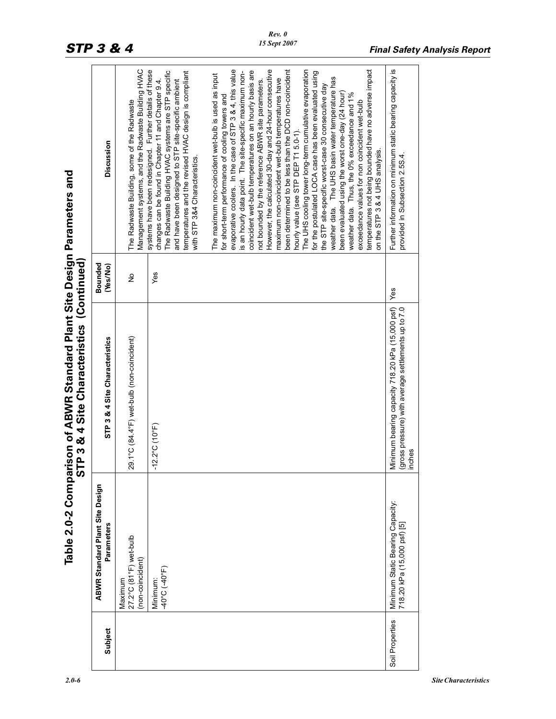| Discussion<br>STP 3 & 4 Site Characteristics (Continued)<br>Bounded<br>(Yes/No)<br>STP 3 & 4 Site Characteristics | Management systems, and the Radwaste Building HVAC<br>The Radwaste Building, some of the Radwaste<br>$\frac{1}{2}$<br>29.1°C (84.4°F) wet-bulb (non-coincident) | systems have been redesigned. Further details of these<br>The Radwaste Building HVAC systems are STP specific<br>temperatures and the revised HVAC design is compliant<br>changes can be found in Chapter 11 and Chapter 9.4.<br>and have been designed to STP site-specific ambient<br>with STP 3&4 Characteristics.<br>Yes | However, the calculated 30-day and 24-hour consecutive<br>been determined to be less than the DCD non-coincident<br>evaporative coolers. In the case of STP 3 & 4, this value<br>The UHS cooling tower long-term cumulative evaporation<br>temperatures not being bounded have no adverse impact<br>coincident wet-bulb temperatures on an hourly basis are<br>is an hourly data point. The site-specific maximum non-<br>for the postulated LOCA case has been evaluated using<br>The maximum non-coincident wet-bulb is used as input<br>weather data. The UHS basin water temperature has<br>maximum non-coincident wet-bulb temperatures have<br>not bounded by the reference ABWR site parameters.<br>the STP site-specific worst-case 30 consecutive day<br>weather data. Thus, the 0% exceedance and 1%<br>been evaluated using the worst one-day (24 hour)<br>for short-term performance of cooling towers and<br>exceedance values for non coincident wet-bulb<br>hourly value (see STP DEP T1 5.0-1).<br>on the STP 3 & 4 UHS analysis. | Further information on minimum static bearing capacity is<br>provided in Subsection 2.5S.4.<br>Yes<br>Minimum bearing capacity 718.20 kPa (15,000 psf)<br>(gross pressure) with average settlements up to 7.0 |
|-------------------------------------------------------------------------------------------------------------------|-----------------------------------------------------------------------------------------------------------------------------------------------------------------|------------------------------------------------------------------------------------------------------------------------------------------------------------------------------------------------------------------------------------------------------------------------------------------------------------------------------|---------------------------------------------------------------------------------------------------------------------------------------------------------------------------------------------------------------------------------------------------------------------------------------------------------------------------------------------------------------------------------------------------------------------------------------------------------------------------------------------------------------------------------------------------------------------------------------------------------------------------------------------------------------------------------------------------------------------------------------------------------------------------------------------------------------------------------------------------------------------------------------------------------------------------------------------------------------------------------------------------------------------------------------------------|---------------------------------------------------------------------------------------------------------------------------------------------------------------------------------------------------------------|
|                                                                                                                   |                                                                                                                                                                 | $-12.2^{\circ}$ C (10°F)                                                                                                                                                                                                                                                                                                     |                                                                                                                                                                                                                                                                                                                                                                                                                                                                                                                                                                                                                                                                                                                                                                                                                                                                                                                                                                                                                                                   | inches                                                                                                                                                                                                        |
| <b>ABWR Standard Plant Site Design</b><br>Parameters                                                              | 27.2°C (81°F) wet-bulb<br>(non-coincident)<br>Maximum                                                                                                           | 40°C (-40°F)<br>Minimum:                                                                                                                                                                                                                                                                                                     |                                                                                                                                                                                                                                                                                                                                                                                                                                                                                                                                                                                                                                                                                                                                                                                                                                                                                                                                                                                                                                                   | Minimum Static Bearing Capacity:<br>718.20 kPa (15,000 psf) [5]                                                                                                                                               |
| Subject                                                                                                           |                                                                                                                                                                 |                                                                                                                                                                                                                                                                                                                              |                                                                                                                                                                                                                                                                                                                                                                                                                                                                                                                                                                                                                                                                                                                                                                                                                                                                                                                                                                                                                                                   | Soil Properties                                                                                                                                                                                               |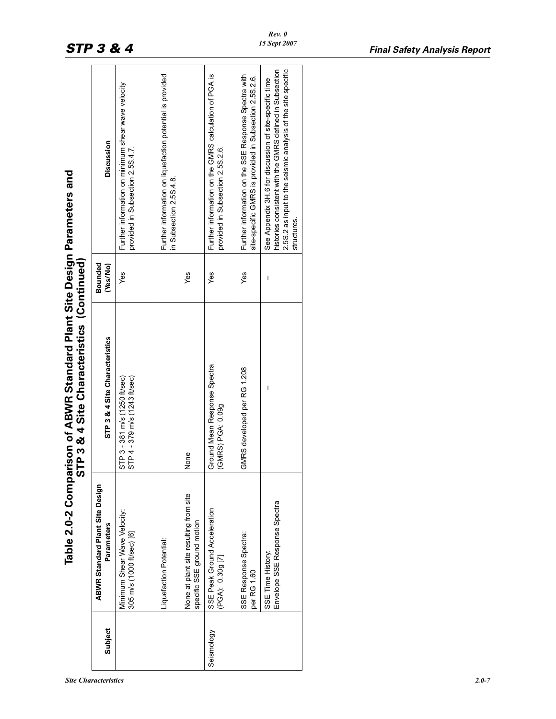| $\angle 0$ - |
|--------------|
|              |

| le 2.0-2 Comparison of ABWR Standard Plant Site Design Parameters and<br>STP 3 & 4 Site Characteristics (Continue |
|-------------------------------------------------------------------------------------------------------------------|
|-------------------------------------------------------------------------------------------------------------------|

|                                                                                                               | <b>Discussion</b>                                    | Further information on minimum shear wave velocity<br>provided in Subsection 2.5S.4.7 | Further information on liquefaction potential is provided<br>n Subsection 2.5S 4.8 |                                                                      | Further information on the GMRS calculation of PGA is<br>provided in Subsection 2.5S.2.6. | Further information on the SSE Response Spectra with<br>site-specific GMRS is provided in Subsection 2.5S.2.6. | 2.5S.2 as input to the seismic analysis of the site specific<br>histories consistent with the GMRS defined in Subsection<br>See Appendix 3H.6 for discussion of site-specific time<br>structures. |
|---------------------------------------------------------------------------------------------------------------|------------------------------------------------------|---------------------------------------------------------------------------------------|------------------------------------------------------------------------------------|----------------------------------------------------------------------|-------------------------------------------------------------------------------------------|----------------------------------------------------------------------------------------------------------------|---------------------------------------------------------------------------------------------------------------------------------------------------------------------------------------------------|
|                                                                                                               | Bounded<br>(Yes/No)                                  | Yes                                                                                   |                                                                                    | Yes                                                                  | Yes                                                                                       | yes                                                                                                            | Ï                                                                                                                                                                                                 |
| <b>Inison of ABWR Standard Plant Site Design Parameters and</b><br>STP 3 & 4 Site Characteristics (Continued) | STP 3 & 4 Site Characteristics                       | STP 4-379 m/s (1243 fl/sec)<br>STP 3-381 m/s (1250 ft/sec)                            |                                                                                    | None                                                                 | Ground Mean Response Spectra<br>(GMRS) PGA: 0.09g                                         | GMRS developed per RG 1.208                                                                                    |                                                                                                                                                                                                   |
| Table 2.0-2 Compa                                                                                             | <b>ABWR Standard Plant Site Design</b><br>Parameters | Minimum Shear Wave Velocity:<br>305 m/s (1000 ft/sec) [6]                             | Liquefaction Potential:                                                            | None at plant site resulting from site<br>specific SSE ground motion | SSE Peak Ground Acceleration<br>(PGA): 0.30g [7]                                          | SSE Response Spectra:<br>per RG 1.60                                                                           | Envelope SSE Response Spectra<br>SSE Time History:                                                                                                                                                |
|                                                                                                               | Subject                                              |                                                                                       |                                                                                    |                                                                      | Seismology                                                                                |                                                                                                                |                                                                                                                                                                                                   |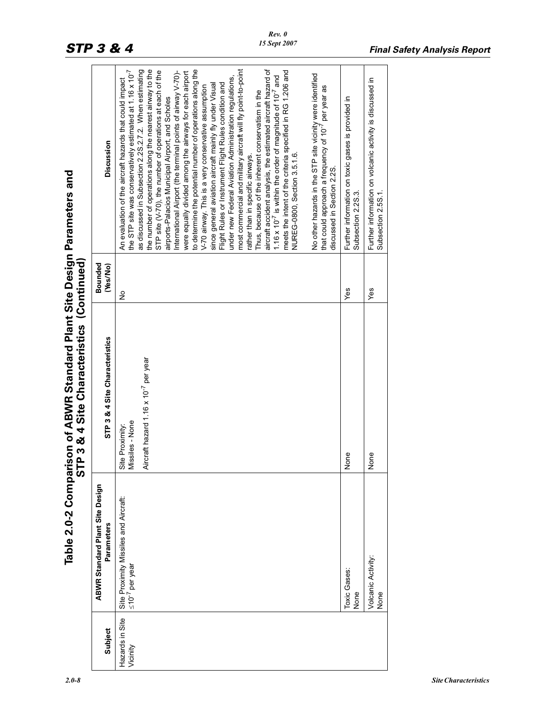| fable 2.0-2 Comparison of ABWR Standard Plant Site Design Parameters and | STP 3 & 4 Site Characteristics (Conti |
|--------------------------------------------------------------------------|---------------------------------------|

|                             |                                                                  | ኃ                                                                                      |                     |                                                                                                                                                                                                                                                                                                                                                                                                                                                                                                                                                                                                                                                                                                                                                                                                                                                                                                                                                                                                                                                                                                                                                                                                                                                                                                                                                                             |  |
|-----------------------------|------------------------------------------------------------------|----------------------------------------------------------------------------------------|---------------------|-----------------------------------------------------------------------------------------------------------------------------------------------------------------------------------------------------------------------------------------------------------------------------------------------------------------------------------------------------------------------------------------------------------------------------------------------------------------------------------------------------------------------------------------------------------------------------------------------------------------------------------------------------------------------------------------------------------------------------------------------------------------------------------------------------------------------------------------------------------------------------------------------------------------------------------------------------------------------------------------------------------------------------------------------------------------------------------------------------------------------------------------------------------------------------------------------------------------------------------------------------------------------------------------------------------------------------------------------------------------------------|--|
| Subject                     | <b>ABWR Standard Plant Site Design</b><br>Parameters             | STP 3 & 4 Site Characteristics                                                         | Bounded<br>(Yes/No) | Discussion                                                                                                                                                                                                                                                                                                                                                                                                                                                                                                                                                                                                                                                                                                                                                                                                                                                                                                                                                                                                                                                                                                                                                                                                                                                                                                                                                                  |  |
| Hazards in Site<br>Vicinity | Site Proximity Missiles and Aircraft:<br>$\leq 10^{-7}$ per year | Aircraft hazard 1.16 x 10 <sup>-7</sup> per year<br>Vissiles - None<br>Site Proximity: | $\frac{1}{2}$       | aircraft accident analysis, the estimated aircraft hazard of<br>the number of operations along the nearest airway to the<br>to determine the potential number of operations along the<br>most commercial and military aircraft will fly point-to-point<br>the STP site was conservatively estimated at 1.16 x 10 <sup>-7</sup><br>as discussed in Subsection 2.2S.2.7.2. When estimating<br>meets the intent of the criteria specified in RG 1.206 and<br>STP site (V-70), the number of operations at each of the<br>International Airport (the terminal points of airway V-70)-<br>were equally divided among the airways for each airport<br>No other hazards in the STP site vicinity were identified<br>1.16 x 10 <sup>-7</sup> is within the order of magnitude of 10 <sup>-7</sup> and<br>under new Federal Aviation Administration regulations,<br>An evaluation of the aircraft hazards that could impact<br>Flight Rules or Instrument Flight Rules condition and<br>since general aviation aircraft mainly fly under Visual<br>V-70 airway. This is a very conservative assumption<br>that could approach a frequency of 10 <sup>-7</sup> per year as<br>Thus, because of the inherent conservatism in the<br>airports-Palacios Municipal Airport, and Scholes<br>NUREG-0800, Section 3.5.1.6.<br>rather than in specific airways.<br>discussed in Section 2.2S. |  |
|                             | Toxic Gases:<br>None                                             | None                                                                                   | Yes                 | Further information on toxic gases is provided in<br>Subsection 2.2S.3.                                                                                                                                                                                                                                                                                                                                                                                                                                                                                                                                                                                                                                                                                                                                                                                                                                                                                                                                                                                                                                                                                                                                                                                                                                                                                                     |  |
|                             | Volcanic Activity:<br>None                                       | None                                                                                   | Yes                 | Further information on volcanic activity is discussed in<br>Subsection 2.5S.1.                                                                                                                                                                                                                                                                                                                                                                                                                                                                                                                                                                                                                                                                                                                                                                                                                                                                                                                                                                                                                                                                                                                                                                                                                                                                                              |  |